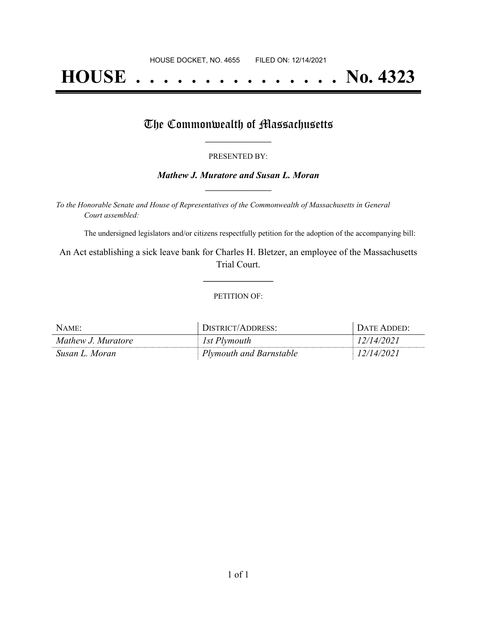# **HOUSE . . . . . . . . . . . . . . . No. 4323**

## The Commonwealth of Massachusetts

#### PRESENTED BY:

#### *Mathew J. Muratore and Susan L. Moran* **\_\_\_\_\_\_\_\_\_\_\_\_\_\_\_\_\_**

*To the Honorable Senate and House of Representatives of the Commonwealth of Massachusetts in General Court assembled:*

The undersigned legislators and/or citizens respectfully petition for the adoption of the accompanying bill:

An Act establishing a sick leave bank for Charles H. Bletzer, an employee of the Massachusetts Trial Court.

**\_\_\_\_\_\_\_\_\_\_\_\_\_\_\_**

#### PETITION OF:

| NAME:              | DISTRICT/ADDRESS:       | $\Gamma$ Date Added: |
|--------------------|-------------------------|----------------------|
| Mathew J. Muratore | 1st Plymouth            | 12/14/2021           |
| Susan L. Moran     | Plymouth and Barnstable | 12/14/2021           |